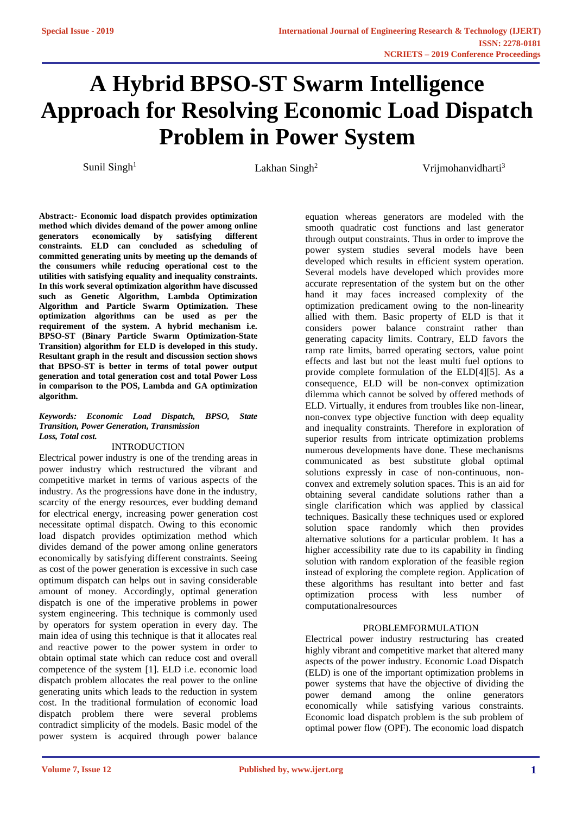# **A Hybrid BPSO-ST Swarm Intelligence Approach for Resolving Economic Load Dispatch Problem in Power System**

Sunil Singh<sup>1</sup> Lakhan Singh<sup>2</sup> Vrijmohanvidharti<sup>3</sup>

**Abstract:- Economic load dispatch provides optimization method which divides demand of the power among online generators economically by satisfying different constraints. ELD can concluded as scheduling of committed generating units by meeting up the demands of the consumers while reducing operational cost to the utilities with satisfying equality and inequality constraints. In this work several optimization algorithm have discussed such as Genetic Algorithm, Lambda Optimization Algorithm and Particle Swarm Optimization. These optimization algorithms can be used as per the requirement of the system. A hybrid mechanism i.e. BPSO-ST (Binary Particle Swarm Optimization-State Transition) algorithm for ELD is developed in this study. Resultant graph in the result and discussion section shows that BPSO-ST is better in terms of total power output generation and total generation cost and total Power Loss in comparison to the POS, Lambda and GA optimization algorithm.**

#### *Keywords: Economic Load Dispatch, BPSO, State Transition, Power Generation, Transmission Loss, Total cost.*

#### INTRODUCTION

Electrical power industry is one of the trending areas in power industry which restructured the vibrant and competitive market in terms of various aspects of the industry. As the progressions have done in the industry, scarcity of the energy resources, ever budding demand for electrical energy, increasing power generation cost necessitate optimal dispatch. Owing to this economic load dispatch provides optimization method which divides demand of the power among online generators economically by satisfying different constraints. Seeing as cost of the power generation is excessive in such case optimum dispatch can helps out in saving considerable amount of money. Accordingly, optimal generation dispatch is one of the imperative problems in power system engineering. This technique is commonly used by operators for system operation in every day. The main idea of using this technique is that it allocates real and reactive power to the power system in order to obtain optimal state which can reduce cost and overall competence of the system [1]. ELD i.e. economic load dispatch problem allocates the real power to the online generating units which leads to the reduction in system cost. In the traditional formulation of economic load dispatch problem there were several problems contradict simplicity of the models. Basic model of the power system is acquired through power balance

equation whereas generators are modeled with the smooth quadratic cost functions and last generator through output constraints. Thus in order to improve the power system studies several models have been developed which results in efficient system operation. Several models have developed which provides more accurate representation of the system but on the other hand it may faces increased complexity of the optimization predicament owing to the non-linearity allied with them. Basic property of ELD is that it considers power balance constraint rather than generating capacity limits. Contrary, ELD favors the ramp rate limits, barred operating sectors, value point effects and last but not the least multi fuel options to provide complete formulation of the ELD[4][5]. As a consequence, ELD will be non-convex optimization dilemma which cannot be solved by offered methods of ELD. Virtually, it endures from troubles like non-linear, non-convex type objective function with deep equality and inequality constraints. Therefore in exploration of superior results from intricate optimization problems numerous developments have done. These mechanisms communicated as best substitute global optimal solutions expressly in case of non-continuous, nonconvex and extremely solution spaces. This is an aid for obtaining several candidate solutions rather than a single clarification which was applied by classical techniques. Basically these techniques used or explored solution space randomly which then provides alternative solutions for a particular problem. It has a higher accessibility rate due to its capability in finding solution with random exploration of the feasible region instead of exploring the complete region. Application of these algorithms has resultant into better and fast optimization process with less number of computationalresources

# PROBLEMFORMULATION

Electrical power industry restructuring has created highly vibrant and competitive market that altered many aspects of the power industry. Economic Load Dispatch (ELD) is one of the important optimization problems in power systems that have the objective of dividing the power demand among the online generators economically while satisfying various constraints. Economic load dispatch problem is the sub problem of optimal power flow (OPF). The economic load dispatch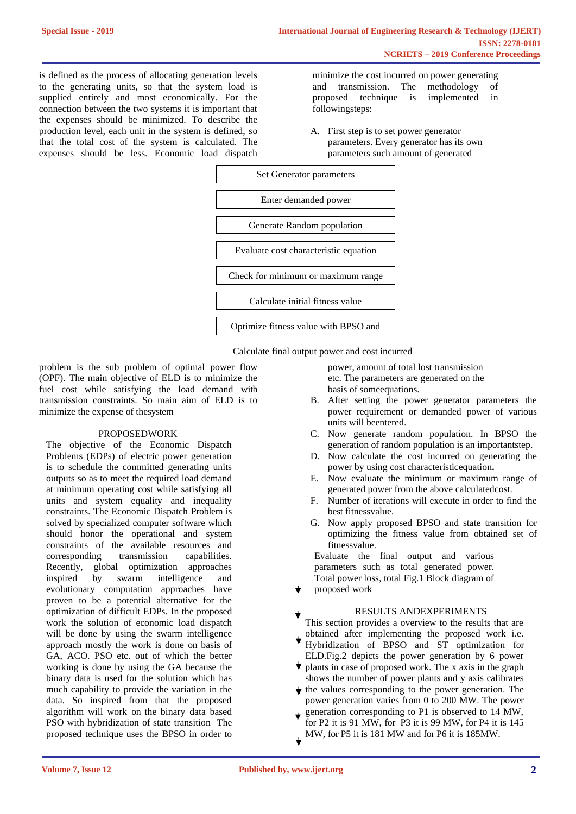is defined as the process of allocating generation levels to the generating units, so that the system load is supplied entirely and most economically. For the connection between the two systems it is important that the expenses should be minimized. To describe the production level, each unit in the system is defined, so that the total cost of the system is calculated. The expenses should be less. Economic load dispatch

minimize the cost incurred on power generating and transmission. The methodology of proposed technique is implemented in followingsteps:

A. First step is to set power generator parameters. Every generator has its own parameters such amount of generated



problem is the sub problem of optimal power flow (OPF). The main objective of ELD is to minimize the fuel cost while satisfying the load demand with transmission constraints. So main aim of ELD is to minimize the expense of thesystem

#### PROPOSEDWORK

The objective of the Economic Dispatch Problems (EDPs) of electric power generation is to schedule the committed generating units outputs so as to meet the required load demand at minimum operating cost while satisfying all units and system equality and inequality constraints. The Economic Dispatch Problem is solved by specialized computer software which should honor the operational and system constraints of the available resources and corresponding transmission capabilities. Recently, global optimization approaches inspired by swarm intelligence and evolutionary computation approaches have proven to be a potential alternative for the optimization of difficult EDPs. In the proposed work the solution of economic load dispatch will be done by using the swarm intelligence approach mostly the work is done on basis of GA, ACO. PSO etc. out of which the better working is done by using the GA because the binary data is used for the solution which has much capability to provide the variation in the data. So inspired from that the proposed algorithm will work on the binary data based PSO with hybridization of state transition The proposed technique uses the BPSO in order to

power, amount of total lost transmission etc. The parameters are generated on the basis of someequations.

- B. After setting the power generator parameters the power requirement or demanded power of various units will beentered.
- C. Now generate random population. In BPSO the generation of random population is an importantstep.
- D. Now calculate the cost incurred on generating the power by using cost characteristicequation**.**
- E. Now evaluate the minimum or maximum range of generated power from the above calculatedcost.
- F. Number of iterations will execute in order to find the best fitnessvalue.
- G. Now apply proposed BPSO and state transition for optimizing the fitness value from obtained set of fitnessvalue.

Evaluate the final output and various parameters such as total generated power. Total power loss, total Fig.1 Block diagram of

proposed work

### RESULTS ANDEXPERIMENTS

This section provides a overview to the results that are obtained after implementing the proposed work i.e.

- Hybridization of BPSO and ST optimization for ELD.Fig.2 depicts the power generation by 6 power
- $\bullet$  plants in case of proposed work. The x axis in the graph shows the number of power plants and y axis calibrates
- $\star$  the values corresponding to the power generation. The power generation varies from 0 to 200 MW. The power generation corresponding to P1 is observed to 14 MW,
- for P2 it is 91 MW, for P3 it is 99 MW, for P4 it is 145 MW, for P5 it is 181 MW and for P6 it is 185MW.
	-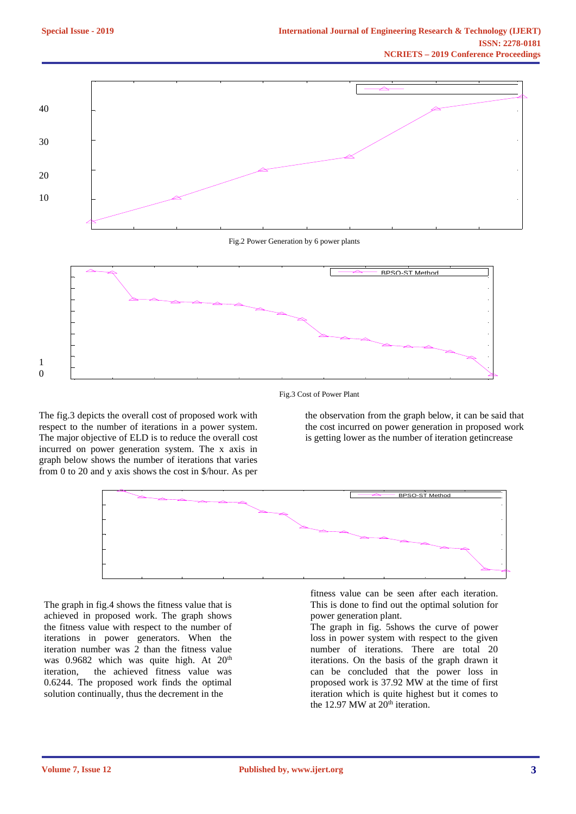

## Fig.3 Cost of Power Plant

The fig.3 depicts the overall cost of proposed work with respect to the number of iterations in a power system. The major objective of ELD is to reduce the overall cost incurred on power generation system. The x axis in graph below shows the number of iterations that varies from 0 to 20 and y axis shows the cost in \$/hour. As per

the observation from the graph below, it can be said that the cost incurred on power generation in proposed work is getting lower as the number of iteration getincrease



The graph in fig.4 shows the fitness value that is achieved in proposed work. The graph shows the fitness value with respect to the number of iterations in power generators. When the iteration number was 2 than the fitness value was 0.9682 which was quite high. At 20<sup>th</sup> iteration, the achieved fitness value was 0.6244. The proposed work finds the optimal solution continually, thus the decrement in the

fitness value can be seen after each iteration. This is done to find out the optimal solution for power generation plant.

The graph in fig. 5shows the curve of power loss in power system with respect to the given number of iterations. There are total 20 iterations. On the basis of the graph drawn it can be concluded that the power loss in proposed work is 37.92 MW at the time of first iteration which is quite highest but it comes to the 12.97 MW at  $20<sup>th</sup>$  iteration.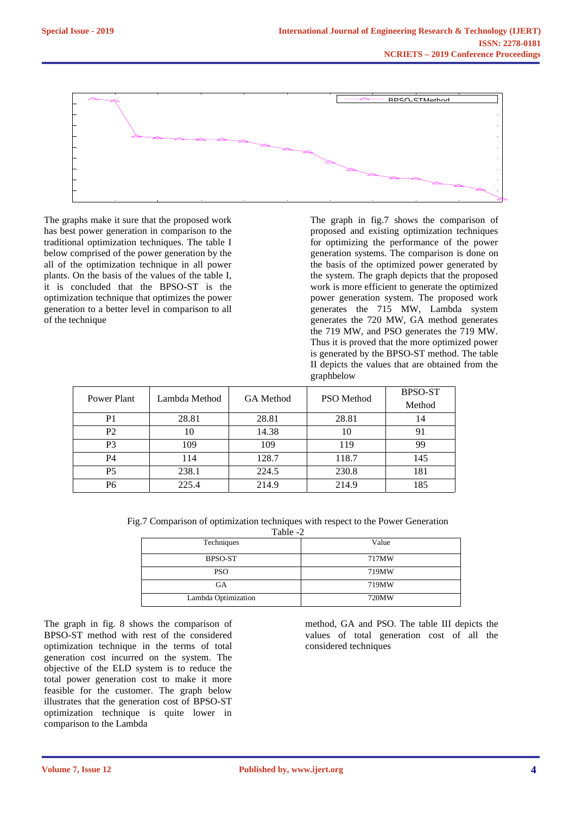

The graphs make it sure that the proposed work has best power generation in comparison to the traditional optimization techniques. The table I below comprised of the power generation by the all of the optimization technique in all power plants. On the basis of the values of the table I, it is concluded that the BPSO-ST is the optimization technique that optimizes the power generation to a better level in comparison to all of the technique

The graph in fig.7 shows the comparison of proposed and existing optimization techniques for optimizing the performance of the power generation systems. The comparison is done on the basis of the optimized power generated by the system. The graph depicts that the proposed work is more efficient to generate the optimized power generation system. The proposed work generates the 715 MW, Lambda system generates the 720 MW, GA method generates the 719 MW, and PSO generates the 719 MW. Thus it is proved that the more optimized power is generated by the BPSO-ST method. The table II depicts the values that are obtained from the graphbelow

| Power Plant    | Lambda Method | GA Method | <b>PSO</b> Method | <b>BPSO-ST</b> |
|----------------|---------------|-----------|-------------------|----------------|
|                |               |           |                   | Method         |
| P1             | 28.81         | 28.81     | 28.81             | 14             |
| P <sub>2</sub> | 10            | 14.38     | 10                | 91             |
| P <sub>3</sub> | 109           | 109       | 119               | 99             |
| P4             | 114           | 128.7     | 118.7             | 145            |
| <b>P5</b>      | 238.1         | 224.5     | 230.8             | 181            |
| P6             | 225.4         | 214.9     | 214.9             | 185            |

Fig.7 Comparison of optimization techniques with respect to the Power Generation

| Table -2            |       |  |  |
|---------------------|-------|--|--|
| Techniques          | Value |  |  |
| <b>BPSO-ST</b>      | 717MW |  |  |
| <b>PSO</b>          | 719MW |  |  |
| <b>GA</b>           | 719MW |  |  |
| Lambda Optimization | 720MW |  |  |

The graph in fig. 8 shows the comparison of BPSO-ST method with rest of the considered optimization technique in the terms of total generation cost incurred on the system. The objective of the ELD system is to reduce the total power generation cost to make it more feasible for the customer. The graph below illustrates that the generation cost of BPSO-ST optimization technique is quite lower in comparison to the Lambda

method, GA and PSO. The table III depicts the values of total generation cost of all the considered techniques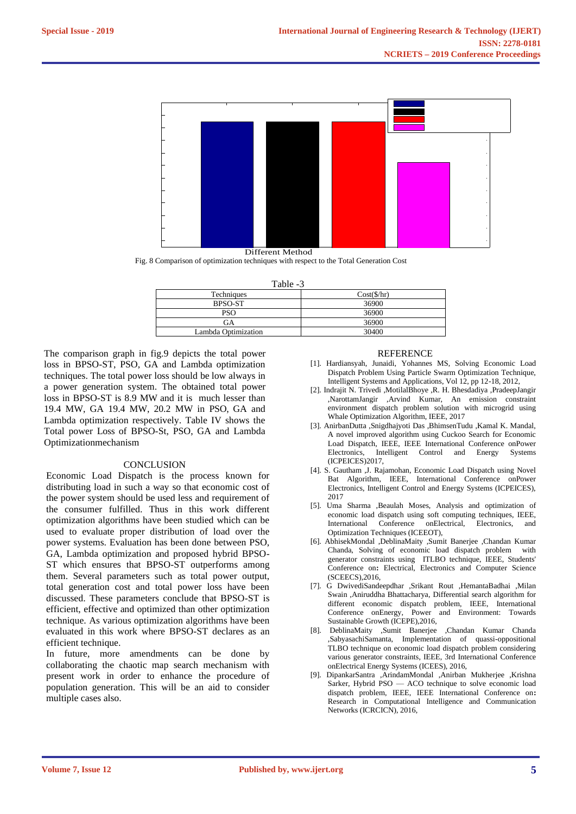

Different Method

Fig. 8 Comparison of optimization techniques with respect to the Total Generation Cost

 $Table 3$ 

| 1. WO 1. P          |                     |  |
|---------------------|---------------------|--|
| Techniques          | $Cost(\frac{f}{h})$ |  |
| <b>BPSO-ST</b>      | 36900               |  |
| PSO                 | 36900               |  |
| GA                  | 36900               |  |
| Lambda Optimization | 30400               |  |

The comparison graph in fig.9 depicts the total power loss in BPSO-ST, PSO, GA and Lambda optimization techniques. The total power loss should be low always in a power generation system. The obtained total power loss in BPSO-ST is 8.9 MW and it is much lesser than 19.4 MW, GA 19.4 MW, 20.2 MW in PSO, GA and Lambda optimization respectively. Table IV shows the Total power Loss of BPSO-St, PSO, GA and Lambda Optimizationmechanism

## **CONCLUSION**

Economic Load Dispatch is the process known for distributing load in such a way so that economic cost of the power system should be used less and requirement of the consumer fulfilled. Thus in this work different optimization algorithms have been studied which can be used to evaluate proper distribution of load over the power systems. Evaluation has been done between PSO, GA, Lambda optimization and proposed hybrid BPSO-ST which ensures that BPSO-ST outperforms among them. Several parameters such as total power output, total generation cost and total power loss have been discussed. These parameters conclude that BPSO-ST is efficient, effective and optimized than other optimization technique. As various optimization algorithms have been evaluated in this work where BPSO-ST declares as an efficient technique.

In future, more amendments can be done by collaborating the chaotic map search mechanism with present work in order to enhance the procedure of population generation. This will be an aid to consider multiple cases also.

#### **REFERENCE**

- [1]. Hardiansyah, Junaidi, Yohannes MS, Solving Economic Load Dispatch Problem Using Particle Swarm Optimization Technique, Intelligent Systems and Applications, Vol 12, pp 12-18, 2012,
- [2]. Indrajit N. Trivedi ,MotilalBhoye ,R. H. Bhesdadiya ,PradeepJangir ,NarottamJangir ,Arvind Kumar, An emission constraint environment dispatch problem solution with microgrid using Whale Optimization Algorithm, IEEE, 2017
- [3]. AnirbanDutta ,Snigdhajyoti Das ,BhimsenTudu ,Kamal K. Mandal, A novel improved algorithm using Cuckoo Search for Economic Load Dispatch, IEEE, IEEE International Conference onPower Electronics, Intelligent Control and Energy Systems (ICPEICES)2017,
- [4]. S. Gautham ,J. Rajamohan, Economic Load Dispatch using Novel Bat Algorithm, IEEE, International Conference onPower Electronics, Intelligent Control and Energy Systems (ICPEICES), 2017
- [5]. Uma Sharma ,Beaulah Moses, Analysis and optimization of economic load dispatch using soft computing techniques, IEEE, International Conference onElectrical, Electronics, and Optimization Techniques (ICEEOT),
- [6]. AbhisekMondal ,DeblinaMaity ,Sumit Banerjee ,Chandan Kumar Chanda, Solving of economic load dispatch problem with generator constraints using ITLBO technique, IEEE, Students' Conference on**:** Electrical, Electronics and Computer Science (SCEECS),2016,
- [7]. G DwivediSandeepdhar ,Srikant Rout ,HemantaBadhai ,Milan Swain ,Aniruddha Bhattacharya, Differential search algorithm for different economic dispatch problem, IEEE, International Conference onEnergy, Power and Environment: Towards Sustainable Growth (ICEPE),2016,
- [8]. DeblinaMaity ,Sumit Banerjee ,Chandan Kumar Chanda ,SabyasachiSamanta, Implementation of quassi-oppositional TLBO technique on economic load dispatch problem considering various generator constraints, IEEE, 3rd International Conference onElectrical Energy Systems (ICEES), 2016,
- [9]. DipankarSantra ,ArindamMondal ,Anirban Mukherjee ,Krishna Sarker, Hybrid PSO — ACO technique to solve economic load dispatch problem, IEEE, IEEE International Conference on**:**  Research in Computational Intelligence and Communication Networks (ICRCICN), 2016,